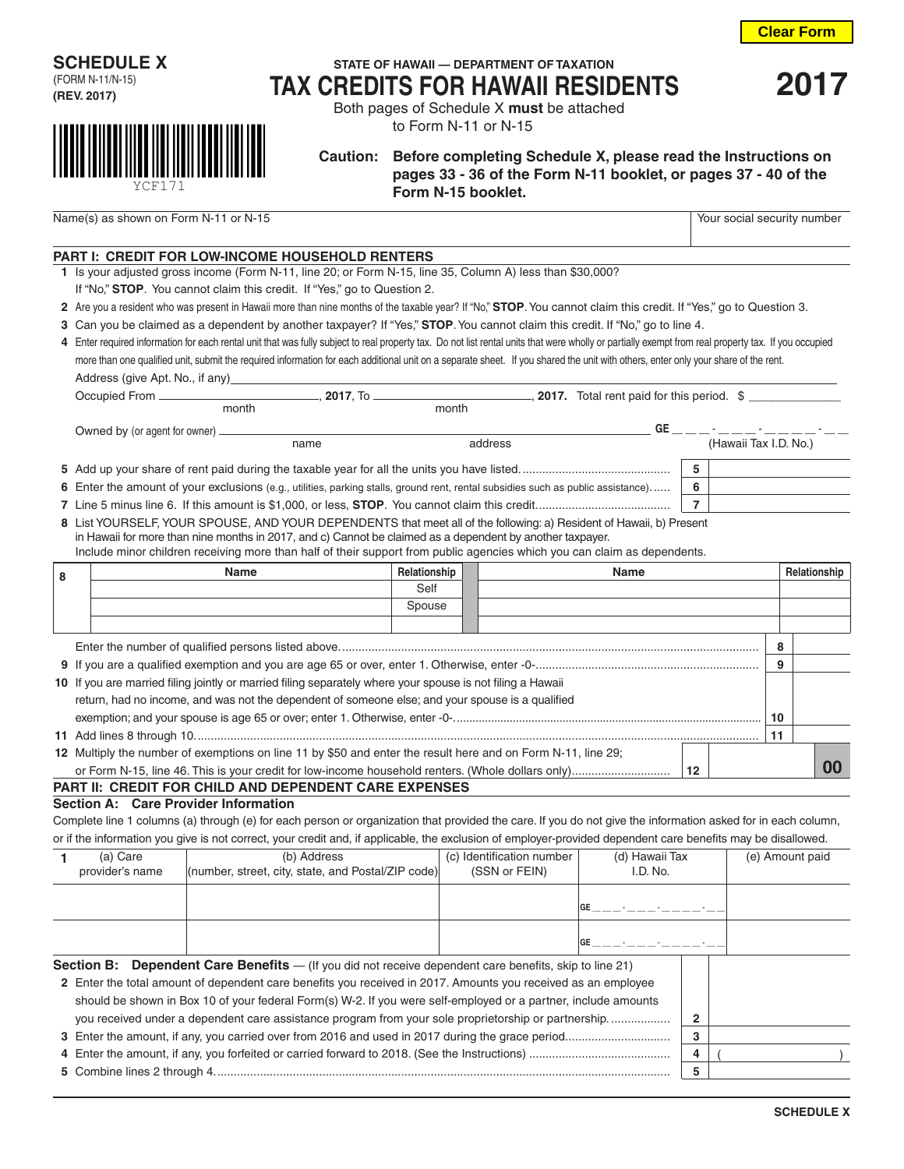$($  )

|   |                                                                                                                                                                                                      | <b>PART I: CREDIT FOR LOW-INCOME HOUSEHOLD RENTERS</b>                                                                                                                             |             |              |                           |  |                                          |                |                |                                |    |                 |
|---|------------------------------------------------------------------------------------------------------------------------------------------------------------------------------------------------------|------------------------------------------------------------------------------------------------------------------------------------------------------------------------------------|-------------|--------------|---------------------------|--|------------------------------------------|----------------|----------------|--------------------------------|----|-----------------|
|   |                                                                                                                                                                                                      | 1 Is your adjusted gross income (Form N-11, line 20; or Form N-15, line 35, Column A) less than \$30,000?                                                                          |             |              |                           |  |                                          |                |                |                                |    |                 |
|   | If "No," STOP. You cannot claim this credit. If "Yes," go to Question 2.                                                                                                                             |                                                                                                                                                                                    |             |              |                           |  |                                          |                |                |                                |    |                 |
|   | 2 Are you a resident who was present in Hawaii more than nine months of the taxable year? If "No," STOP. You cannot claim this credit. If "Yes," go to Question 3.                                   |                                                                                                                                                                                    |             |              |                           |  |                                          |                |                |                                |    |                 |
|   | 3 Can you be claimed as a dependent by another taxpayer? If "Yes," STOP. You cannot claim this credit. If "No," go to line 4.                                                                        |                                                                                                                                                                                    |             |              |                           |  |                                          |                |                |                                |    |                 |
|   | 4 Enter required information for each rental unit that was fully subject to real property tax. Do not list rental units that were wholly or partially exempt from real property tax. If you occupied |                                                                                                                                                                                    |             |              |                           |  |                                          |                |                |                                |    |                 |
|   |                                                                                                                                                                                                      | more than one qualified unit, submit the required information for each additional unit on a separate sheet. If you shared the unit with others, enter only your share of the rent. |             |              |                           |  |                                          |                |                |                                |    |                 |
|   |                                                                                                                                                                                                      | Address (give Apt. No., if any)                                                                                                                                                    |             |              |                           |  |                                          |                |                |                                |    |                 |
|   | Occupied From ________<br>________, 2017, To _______________________________, 2017. Total rent paid for this period. \$ ___________                                                                  |                                                                                                                                                                                    |             |              |                           |  |                                          |                |                |                                |    |                 |
|   |                                                                                                                                                                                                      | month                                                                                                                                                                              |             |              | month                     |  |                                          |                |                |                                |    |                 |
|   | Owned by (or agent for owner) ____                                                                                                                                                                   |                                                                                                                                                                                    |             |              |                           |  |                                          |                |                | $GE$ _ _ _ - _ _ _ _ _ _ _ _ _ |    |                 |
|   | address<br>name                                                                                                                                                                                      |                                                                                                                                                                                    |             |              |                           |  | (Hawaii Tax I.D. No.)                    |                |                |                                |    |                 |
|   |                                                                                                                                                                                                      |                                                                                                                                                                                    |             |              |                           |  |                                          |                | 5              |                                |    |                 |
|   |                                                                                                                                                                                                      | 6 Enter the amount of your exclusions (e.g., utilities, parking stalls, ground rent, rental subsidies such as public assistance)                                                   |             |              |                           |  |                                          |                | 6              |                                |    |                 |
|   |                                                                                                                                                                                                      |                                                                                                                                                                                    |             |              |                           |  |                                          |                | $\overline{7}$ |                                |    |                 |
|   |                                                                                                                                                                                                      | 8 List YOURSELF, YOUR SPOUSE, AND YOUR DEPENDENTS that meet all of the following: a) Resident of Hawaii, b) Present                                                                |             |              |                           |  |                                          |                |                |                                |    |                 |
|   |                                                                                                                                                                                                      | in Hawaii for more than nine months in 2017, and c) Cannot be claimed as a dependent by another taxpayer.                                                                          |             |              |                           |  |                                          |                |                |                                |    |                 |
|   |                                                                                                                                                                                                      | Include minor children receiving more than half of their support from public agencies which you can claim as dependents.                                                           |             |              |                           |  |                                          |                |                |                                |    |                 |
| 8 |                                                                                                                                                                                                      | <b>Name</b>                                                                                                                                                                        |             | Relationship |                           |  | Name                                     |                |                |                                |    | Relationship    |
|   |                                                                                                                                                                                                      |                                                                                                                                                                                    |             | Self         |                           |  |                                          |                |                |                                |    |                 |
|   |                                                                                                                                                                                                      |                                                                                                                                                                                    |             | Spouse       |                           |  |                                          |                |                |                                |    |                 |
|   |                                                                                                                                                                                                      |                                                                                                                                                                                    |             |              |                           |  |                                          |                |                |                                |    |                 |
|   |                                                                                                                                                                                                      |                                                                                                                                                                                    |             |              |                           |  |                                          |                |                |                                | 8  |                 |
|   |                                                                                                                                                                                                      |                                                                                                                                                                                    |             |              |                           |  |                                          |                |                |                                | 9  |                 |
|   |                                                                                                                                                                                                      | 10 If you are married filing jointly or married filing separately where your spouse is not filing a Hawaii                                                                         |             |              |                           |  |                                          |                |                |                                |    |                 |
|   |                                                                                                                                                                                                      | return, had no income, and was not the dependent of someone else; and your spouse is a qualified                                                                                   |             |              |                           |  |                                          |                |                |                                |    |                 |
|   |                                                                                                                                                                                                      |                                                                                                                                                                                    |             |              |                           |  |                                          |                |                |                                | 10 |                 |
|   |                                                                                                                                                                                                      |                                                                                                                                                                                    |             |              |                           |  |                                          |                |                | 11                             |    |                 |
|   |                                                                                                                                                                                                      | 12 Multiply the number of exemptions on line 11 by \$50 and enter the result here and on Form N-11, line 29;                                                                       |             |              |                           |  |                                          |                |                |                                |    |                 |
|   |                                                                                                                                                                                                      |                                                                                                                                                                                    |             |              |                           |  |                                          |                | 12             |                                |    | 00              |
|   |                                                                                                                                                                                                      | PART II: CREDIT FOR CHILD AND DEPENDENT CARE EXPENSES                                                                                                                              |             |              |                           |  |                                          |                |                |                                |    |                 |
|   |                                                                                                                                                                                                      | Section A: Care Provider Information                                                                                                                                               |             |              |                           |  |                                          |                |                |                                |    |                 |
|   |                                                                                                                                                                                                      | Complete line 1 columns (a) through (e) for each person or organization that provided the care. If you do not give the information asked for in each column,                       |             |              |                           |  |                                          |                |                |                                |    |                 |
|   |                                                                                                                                                                                                      | or if the information you give is not correct, your credit and, if applicable, the exclusion of employer-provided dependent care benefits may be disallowed.                       |             |              |                           |  |                                          |                |                |                                |    |                 |
| 1 | (a) Care                                                                                                                                                                                             |                                                                                                                                                                                    | (b) Address |              | (c) Identification number |  |                                          | (d) Hawaii Tax |                |                                |    | (e) Amount paid |
|   | provider's name                                                                                                                                                                                      | (number, street, city, state, and Postal/ZIP code)                                                                                                                                 |             |              | (SSN or FEIN)             |  |                                          | I.D. No.       |                |                                |    |                 |
|   |                                                                                                                                                                                                      |                                                                                                                                                                                    |             |              |                           |  |                                          |                |                |                                |    |                 |
|   |                                                                                                                                                                                                      |                                                                                                                                                                                    |             |              |                           |  | <b>GF</b>                                |                |                |                                |    |                 |
|   |                                                                                                                                                                                                      |                                                                                                                                                                                    |             |              |                           |  |                                          |                |                |                                |    |                 |
|   |                                                                                                                                                                                                      |                                                                                                                                                                                    |             |              |                           |  | $GE$ _ _ _ _ - _ _ _ - _ - _ _ _ _ - _ - |                |                |                                |    |                 |
|   | <b>Section B:</b>                                                                                                                                                                                    | <b>Dependent Care Benefits</b> - (If you did not receive dependent care benefits, skip to line 21)                                                                                 |             |              |                           |  |                                          |                |                |                                |    |                 |
|   |                                                                                                                                                                                                      | 2 Enter the total amount of dependent care benefits you received in 2017. Amounts you received as an employee                                                                      |             |              |                           |  |                                          |                |                |                                |    |                 |
|   |                                                                                                                                                                                                      | should be shown in Box 10 of your federal Form(s) W-2. If you were self-employed or a partner, include amounts                                                                     |             |              |                           |  |                                          |                |                |                                |    |                 |
|   |                                                                                                                                                                                                      | you received under a dependent care assistance program from your sole proprietorship or partnership                                                                                |             |              |                           |  |                                          |                | 2              |                                |    |                 |
|   |                                                                                                                                                                                                      |                                                                                                                                                                                    |             |              |                           |  |                                          |                | 3              |                                |    |                 |

**SCHEDULE X** 

**4** Enter the amount, if any, you forfeited or carried forward to 2018. (See the Instructions) ........................................... **4 5** Combine lines 2 through 4........................................................................................................................................... **5**

## **PART I: CREDIT FOR LOW-INCOME HOUSEHOLD RENTERS**

- 
- 
- 
- 
- **4** Enter required information for each rental unit that was fully subject to real property tax. Do not list rental units that were wholly or partially exempt from real property tax. If you occupied more than one qualified unit, submit the required information for each additional unit on a separate sheet. If you shared the unit with others, enter only your share of the rent.

to Form N-11 or N-15 **Caution: Before completing Schedule X, please read the Instructions on** 

 **pages 33 - 36 of the Form N-11 booklet, or pages 37 - 40 of the Form N-15 booklet.**

**STATE OF HAWAII — DEPARTMENT OF TAXATION TAX CREDITS FOR HAWAII RESIDENTS <sup>2017</sup>** Both pages of Schedule X **must** be attached

**Clear Form**

| <b>SCHEDULE X</b> |  |
|-------------------|--|
| (FORM N-11/N-15)  |  |
| (REV. 2017)       |  |

YCF171

Name(s) as shown on Form N-11 or N-15 Your social security number